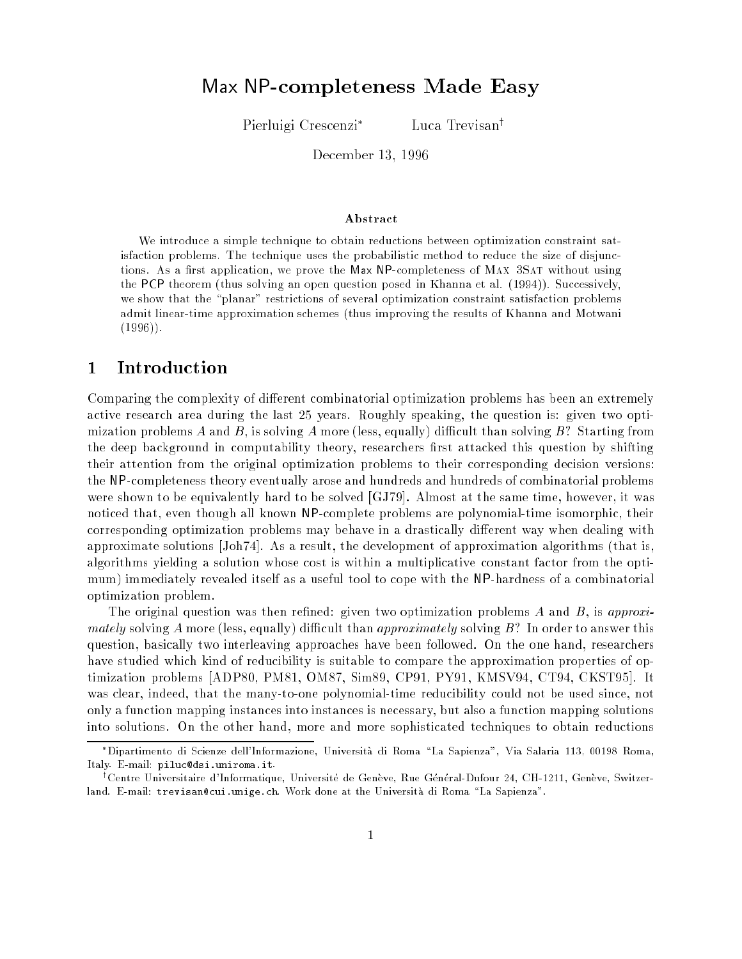# Max NP-completeness Made Easy

Pierluigi Crescenzi

Luca Trevisan<sup>†</sup>

December 13, <sup>1996</sup>

#### Abstract

We introduce a simple technique to obtain reductions between optimization constraint satisfaction problems. The technique uses the probabilistic method to reduce the size of disjunctions. As a first application, we prove the Max NP-completeness of MAX 3SAT without using the PCP theorem (thus solving an open question posed in Khanna et al. (1994)). Successively, we show that the "planar" restrictions of several optimization constraint satisfaction problems admit linear-time approximation schemes (thus improving the results of Khanna and Motwani  $(1996)$ .

# 1 Introduction

Comparing the complexity of different combinatorial optimization problems has been an extremely active research area during the last 25 years. Roughly speaking, the question is: given two optimization problems A and B, is solving A more (less, equally) difficult than solving B? Starting from the deep background in computability theory, researchers first attacked this question by shifting their attention from the original optimization problems to their corresponding decision versions: the NP-completeness theory eventually arose and hundreds and hundreds of combinatorial problems were shown to be equivalently hard to be solved [GJ79]. Almost at the same time, however, it was noticed that, even though all known NP-complete problems are polynomial-time isomorphic, their corresponding optimization problems may behave in a drastically different way when dealing with approximate solutions [Joh74]. As a result, the development of approximation algorithms (that is, algorithms yielding a solution whose cost is within a multiplicative constant factor from the optimum) immediately revealed itself as a useful tool to cope with the NP-hardness of a combinatorial optimization problem.

The original question was then refined: given two optimization problems  $A$  and  $B$ , is approximately solving A more (less, equally) difficult than approximately solving  $B$ ? In order to answer this question, basically two interleaving approaches have been followed. On the one hand, researchers have studied which kind of reducibility is suitable to compare the approximation properties of optimization problems [ADP80, PM81, OM87, Sim89, CP91, PY91, KMSV94, CT94, CKST95]. It was clear, indeed, that the many-to-one polynomial-time reducibility could not be used since, not only a function mapping instances into instances is necessary, but also a function mapping solutions into solutions. On the other hand, more and more sophisticated techniques to obtain reductions

Dipartimento di Scienze dell'Informazione, Universita di Roma \La Sapienza", Via Salaria 113, <sup>00198</sup> Roma, Italy. E-mail: piluc@dsi.uniroma.it.

<sup>&</sup>lt;sup>1</sup>Centre Universitaire d'Informatique, Université de Genève, Rue Général-Dufour 24, CH-1211, Genève, Switzerland. E-mail: trevisan@cui.unige.ch. Work done at the Università di Roma "La Sapienza".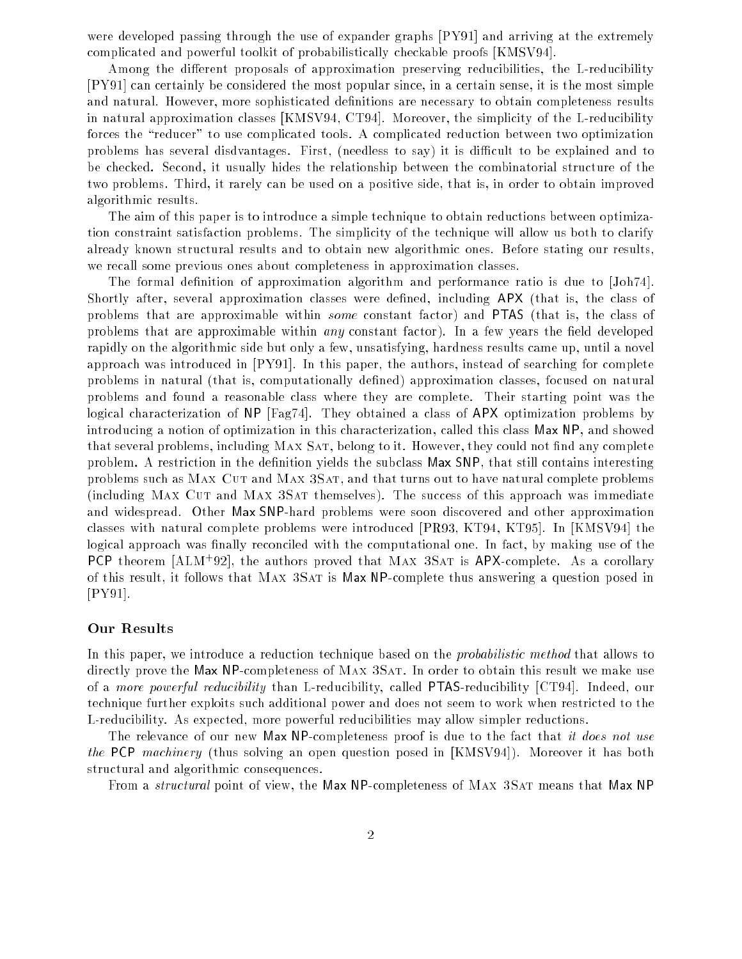were developed passing through the use of expander graphs [PY91] and arriving at the extremely complicated and powerful toolkit of probabilistically checkable proofs [KMSV94].

Among the different proposals of approximation preserving reducibilities, the L-reducibility [PY91] can certainly be considered the most popular since, in a certain sense, it is the most simple and natural. However, more sophisticated definitions are necessary to obtain completeness results in natural approximation classes [KMSV94, CT94]. Moreover, the simplicity of the L-reducibility forces the "reducer" to use complicated tools. A complicated reduction between two optimization problems has several disdvantages. First, (needless to say) it is difficult to be explained and to be checked. Second, it usually hides the relationship between the combinatorial structure of the two problems. Third, it rarely can be used on a positive side, that is, in order to obtain improved algorithmic results.

The aim of this paper is to introduce a simple technique to obtain reductions between optimization constraint satisfaction problems. The simplicity of the technique will allow us both to clarify already known structural results and to obtain new algorithmic ones. Before stating our results, we recall some previous ones about completeness in approximation classes.

The formal definition of approximation algorithm and performance ratio is due to [Joh74]. Shortly after, several approximation classes were defined, including APX (that is, the class of problems that are approximable within some constant factor) and PTAS (that is, the class of problems that are approximable within *any* constant factor). In a few years the field developed rapidly on the algorithmic side but only a few, unsatisfying, hardness results came up, until a novel approach was introduced in [PY91]. In this paper, the authors, instead of searching for complete problems in natural (that is, computationally dened) approximation classes, focused on natural problems and found a reasonable class where they are complete. Their starting point was the logical characterization of NP [Fag74]. They obtained a class of APX optimization problems by introducing a notion of optimization in this characterization, called this class Max NP, and showed that several problems, including MAX SAT, belong to it. However, they could not find any complete problem. A restriction in the definition yields the subclass Max SNP, that still contains interesting problems such as Max Cut and Max 3Sat, and that turns out to have natural complete problems (including MAX CUT and MAX 3SAT themselves). The success of this approach was immediate and widespread. Other Max SNP-hard problems were soon discovered and other approximation classes with natural complete problems were introduced [PR93, KT94, KT95]. In [KMSV94] the logical approach was finally reconciled with the computational one. In fact, by making use of the PCP theorem [ALM<sup>+</sup>92], the authors proved that MAX 3SAT is APX-complete. As a corollary of this result, it follows that Max 3Sat is Max NP-complete thus answering a question posed in [PY91].

### Our Results

In this paper, we introduce a reduction technique based on the *probabilistic method* that allows to directly prove the Max NP-completeness of MAX 3SAT. In order to obtain this result we make use of a more powerful reducibility than L-reducibility, called PTAS-reducibility [CT94]. Indeed, our technique further exploits such additional power and does not seem to work when restricted to the L-reducibility. As expected, more powerful reducibilities may allow simpler reductions.

The relevance of our new Max NP-completeness proof is due to the fact that it does not use the PCP machinery (thus solving an open question posed in [KMSV94]). Moreover it has both structural and algorithmic consequences.

From a *structural* point of view, the Max NP-completeness of MAX 3SAT means that Max NP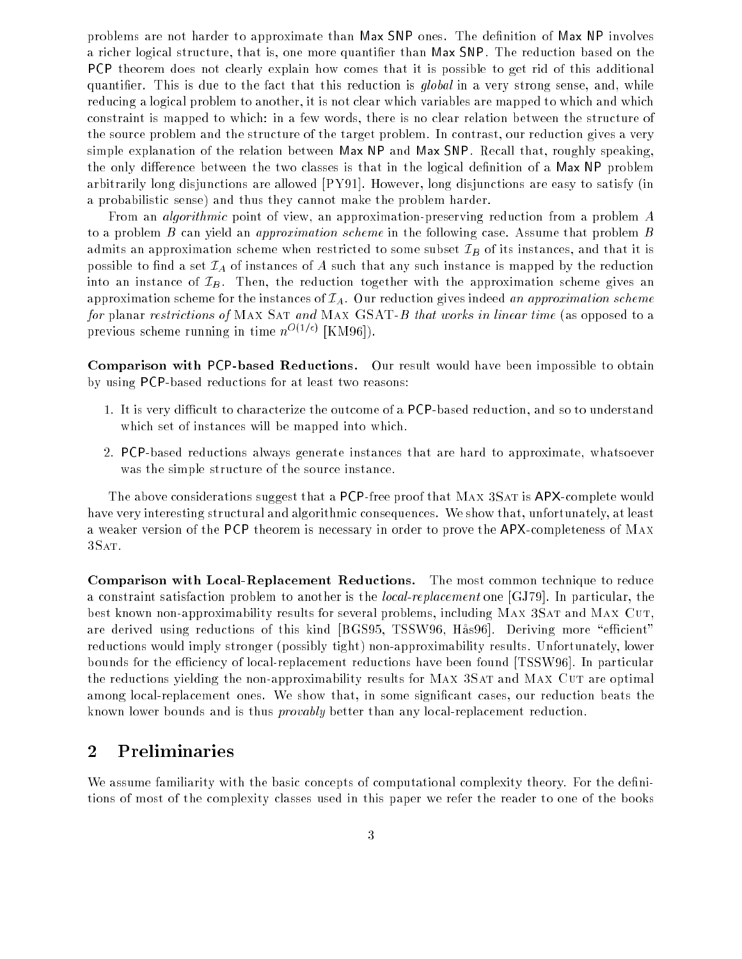problems are not harder to approximate than Max SNP ones. The definition of Max NP involves a richer logical structure, that is, one more quantier than Max SNP. The reduction based on the PCP theorem does not clearly explain how comes that it is possible to get rid of this additional quantifier. This is due to the fact that this reduction is *qlobal* in a very strong sense, and, while reducing a logical problem to another, it is not clear which variables are mapped to which and which constraint is mapped to which: in a few words, there is no clear relation between the structure of the source problem and the structure of the target problem. In contrast, our reduction gives a very simple explanation of the relation between Max NP and Max SNP. Recall that, roughly speaking, the only difference between the two classes is that in the logical definition of a Max NP problem arbitrarily long disjunctions are allowed [PY91]. However, long disjunctions are easy to satisfy (in a probabilistic sense) and thus they cannot make the problem harder.

From an *algorithmic* point of view, an approximation-preserving reduction from a problem A to a problem B can yield an *approximation scheme* in the following case. Assume that problem B admits an approximation scheme when restricted to some subset  $\mathcal{I}_B$  of its instances, and that it is possible to find a set  $\mathcal{I}_A$  of instances of A such that any such instance is mapped by the reduction into an instance of  $\mathcal{I}_B$ . Then, the reduction together with the approximation scheme gives an approximation scheme for the instances of  $\mathcal{I}_A$ . Our reduction gives indeed an approximation scheme for planar restrictions of MAX SAT and MAX GSAT-B that works in linear time (as opposed to a previous scheme running in time  $n^{O(1/\epsilon)}$  [KM96]).

Comparison with PCP-based Reductions. Our result would have been impossible to obtain by using PCP-based reductions for at least two reasons:

- 1. It is very difficult to characterize the outcome of a PCP-based reduction, and so to understand which set of instances will be mapped into which.
- 2. PCP-based reductions always generate instances that are hard to approximate, whatsoever was the simple structure of the source instance.

The above considerations suggest that a PCP-free proof that MAX 3SAT is APX-complete would have very interesting structural and algorithmic consequences. We show that, unfortunately, at least a weaker version of the PCP theorem is necessary in order to prove the APX-completeness of Max 3Sat.

Comparison with Local-Replacement Reductions. The most common technique to reduce a constraint satisfaction problem to another is the local-replacement one [GJ79]. In particular, the best known non-approximability results for several problems, including MAX 3SAT and MAX CUT. are derived using reductions of this kind [BGS95, TSSW96, Has96]. Deriving more "efficient" reductions would imply stronger (possibly tight) non-approximability results. Unfortunately, lower bounds for the efficiency of local-replacement reductions have been found [TSSW96]. In particular the reductions yielding the non-approximability results for MAX 3SAT and MAX CUT are optimal among local-replacement ones. We show that, in some signicant cases, our reduction beats the known lower bounds and is thus provably better than any local-replacement reduction.

## 2 Preliminaries

We assume familiarity with the basic concepts of computational complexity theory. For the definitions of most of the complexity classes used in this paper we refer the reader to one of the books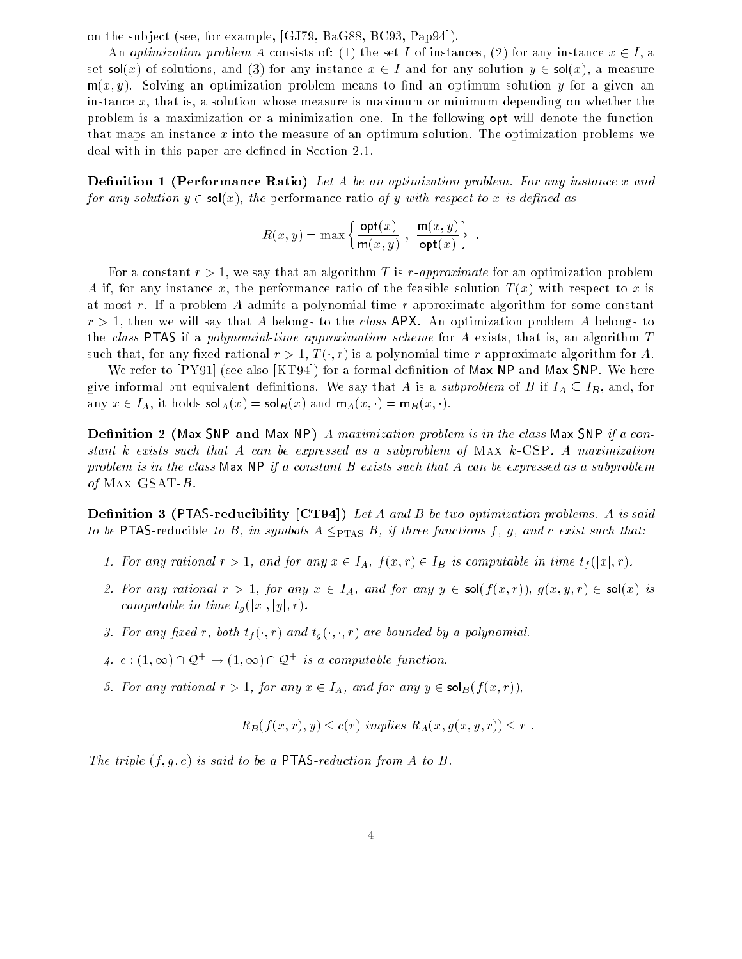on the sub ject (see, for example, [GJ79, BaG88, BC93, Pap94]).

An optimization problem A consists of: (1) the set I of instances, (2) for any instance  $x \in I$ , a set  $sol(x)$  of solutions, and (3) for any instance  $x \in I$  and for any solution  $y \in sol(x)$ , a measure  $m(x, y)$ . Solving an optimization problem means to find an optimum solution y for a given an instance  $x$ , that is, a solution whose measure is maximum or minimum depending on whether the problem is a maximization or a minimization one. In the following opt will denote the function that maps an instance x into the measure of an optimum solution. The optimization problems we deal with in this paper are defined in Section 2.1.

**Definition 1 (Performance Ratio)** Let A be an optimization problem. For any instance x and for any solution  $y \in sol(x)$ , the performance ratio of y with respect to x is defined as

$$
R(x, y) = \max \left\{ \frac{\text{opt}(x)}{\text{m}(x, y)} , \frac{\text{m}(x, y)}{\text{opt}(x)} \right\}
$$

:

For a constant  $r > 1$ , we say that an algorithm T is r-approximate for an optimization problem A if, for any instance x, the performance ratio of the feasible solution  $T(x)$  with respect to x is at most r. If a problem A admits a polynomial-time r-approximate algorithm for some constant  $r > 1$ , then we will say that A belongs to the class APX. An optimization problem A belongs to the class PTAS if a polynomial-time approximation scheme for A exists, that is, an algorithm  $T$ such that, for any fixed rational  $r > 1$ ,  $T(\cdot, r)$  is a polynomial-time r-approximate algorithm for A.

We refer to  $[{\rm PY91}]$  (see also  $[{\rm KT94}]$ ) for a formal definition of Max NP and Max SNP. We here give informal but equivalent definitions. We say that A is a subproblem of B if  $I_A \subseteq I_B$ , and, for any  $x \in I_A$ , it holds  $\mathsf{sol}_A(x) = \mathsf{sol}_B(x)$  and  $\mathsf{m}_A(x, \cdot) = \mathsf{m}_B(x, \cdot)$ .

**Definition 2** (Max SNP and Max NP) A maximization problem is in the class Max SNP if a constant k exists such that A can be expressed as a subproblem of Max k-CSP. A maximization problem is in the class  $\mathsf{Max} \mathsf{NP}$  if a constant B exists such that A can be expressed as a subproblem of MAX  $GSAT-B$ .

**Definition 3 (PTAS-reducibility [CT94])** Let A and B be two optimization problems. A is said to be PTAS-reducible to B, in symbols  $A \leq_{PTAS} B$ , if three functions f, g, and c exist such that:

- 1. For any rational  $r > 1$ , and for any  $x \in I_A$ ,  $f(x, r) \in I_B$  is computable in time  $t_f(|x|, r)$ .
- 2. For any rational  $r > 1$ , for any  $x \in I_A$ , and for any  $y \in sol(f(x,r))$ ,  $g(x,y,r) \in sol(x)$  is computable in time  $t_g(|x|, |y|, r)$ .
- 3. For any fixed r, both  $t_f(\cdot,r)$  and  $t_g(\cdot,\cdot,r)$  are bounded by a polynomial.
- 4.  $c:(1,\infty) \cap \mathcal{Q}^+ \to (1,\infty) \cap \mathcal{Q}^+$  is a computable function.
- 5. For any rational  $r > 1$ , for any  $x \in I_A$ , and for any  $y \in \mathsf{sol}_B(f(x, r)),$

 $R_B(f(x, r), y) \leq c(r)$  implies  $R_A(x, g(x, y, r)) \leq r$ .

The triple  $(f, q, c)$  is said to be a **PTAS**-reduction from A to B.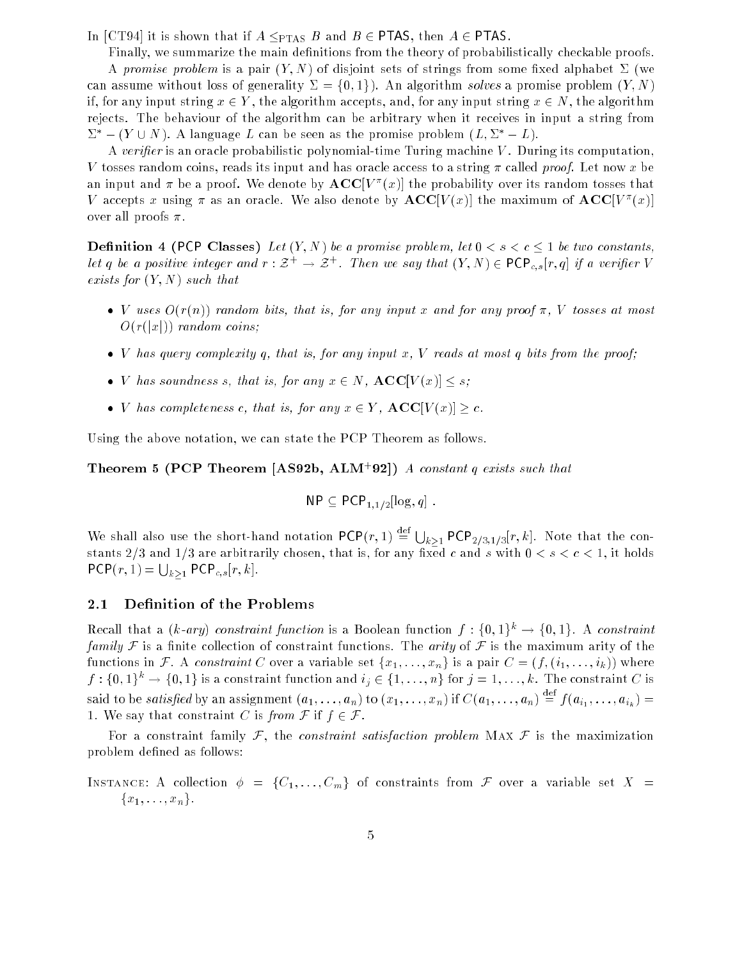In [CT94] it is shown that if  $A \leq_{\text{PTAS}} B$  and  $B \in \text{PTAS}$ , then  $A \in \text{PTAS}$ .

Finally, we summarize the main definitions from the theory of probabilistically checkable proofs. A promise problem is a pair  $(Y, N)$  of disjoint sets of strings from some fixed alphabet  $\Sigma$  (we can assume without loss of generality  $\Sigma = \{0, 1\}$ . An algorithm solves a promise problem  $(Y, N)$ if, for any input string  $x \in Y$ , the algorithm accepts, and, for any input string  $x \in N$ , the algorithm rejects. The behaviour of the algorithm can be arbitrary when it receives in input a string from  $\Sigma^*$  –  $(Y \cup N)$ . A language L can be seen as the promise problem  $(L, \Sigma^* - L)$ .

A verifier is an oracle probabilistic polynomial-time Turing machine  $V$ . During its computation, V tosses random coins, reads its input and has oracle access to a string  $\pi$  called proof. Let now x be an input and  $\pi$  be a proof. We denote by  $\mathbf{AUC}[V^-(x)]$  the probability over its random tosses that v accepts x using *n* as an oracle. We also denote by  $A\cup\cup$   $\vee$  (x)] the maximum of  $A\cup\cup$   $\vee$  (x)] over all proofs  $\pi$ .

**Definition 4 (PCP Classes)** Let  $(Y, N)$  be a promise problem, let  $0 < s < c \leq 1$  be two constants, let q be a positive integer and  $r : \mathcal{Z}^+ \to \mathcal{Z}^+$ . Then we say that  $(Y, N) \in \text{PCP}_{c,s}[r, q]$  if a verifier V exists for  $(Y, N)$  such that

- V uses  $O(r(n))$  random bits, that is, for any input x and for any proof  $\pi$ , V tosses at most  $O(r(|x|))$  random coins;
- $\bullet$  V has query complexity q, that is, for any input x, V reads at most q bits from the proof;
- V has soundness s, that is, for any  $x \in N$ ,  $\mathbf{ACC}[V(x)] \leq s$ ;
- *V* has completeness c, that is, for any  $x \in Y$ ,  $\mathbf{ACC}[V(x)] \geq c$ .

Using the above notation, we can state the PCP Theorem as follows.

**Theorem 5 (PCP Theorem [AS92b, ALM<sup>+</sup>92])** A constant q exists such that

$$
\mathsf{NP} \subseteq \mathsf{PCP}_{1,1/2}[\log, q].
$$

We shall also use the short-hand notation  $PCP(r, 1) \stackrel{\text{def}}{=} \bigcup_{k>1} PCP_{2/3,1/3}[r, k]$ . Note that the constants 2/3 and 1/3 are arbitrarily chosen, that is, for any fixed c and s with  $0 < s < c < 1$ , it holds  $\mathsf{PCP}(r,1) = \bigcup_{k>1} \mathsf{PCP}_{c,s}[r,k].$ 

#### 2.1 Definition of the Problems

Recall that a (k-ary) constraint function is a Boolean function  $f: \{0,1\}^k \to \{0,1\}$ . A constraint family F is a finite collection of constraint functions. The arity of F is the maximum arity of the functions in F. A constraint C over a variable set  $\{x_1, \ldots, x_n\}$  is a pair  $C = (f, (i_1, \ldots, i_k))$  where  $f: \{0,1\}^k \to \{0,1\}$  is a constraint function and  $i_j \in \{1, \ldots, n\}$  for  $j = 1, \ldots, k$ . The constraint  $C$  is said to be satisfied by an assignment  $(a_1, \ldots, a_n)$  to  $(x_1, \ldots, x_n)$  if  $C(a_1, \ldots, a_n) \stackrel{\text{def}}{=}$  $f \left( \begin{array}{c} a & b \\ c & d \end{array} \right)$ 1. We say that constraint C is from  $\mathcal F$  if  $f \in \mathcal F$ .

For a constraint family F, the *constraint satisfaction problem* MAX F is the maximization problem defined as follows:

INSTANCE: A collection  $\phi = \{C_1, \ldots, C_m\}$  of constraints from F over a variable set X =  ${x_1, \ldots, x_n}.$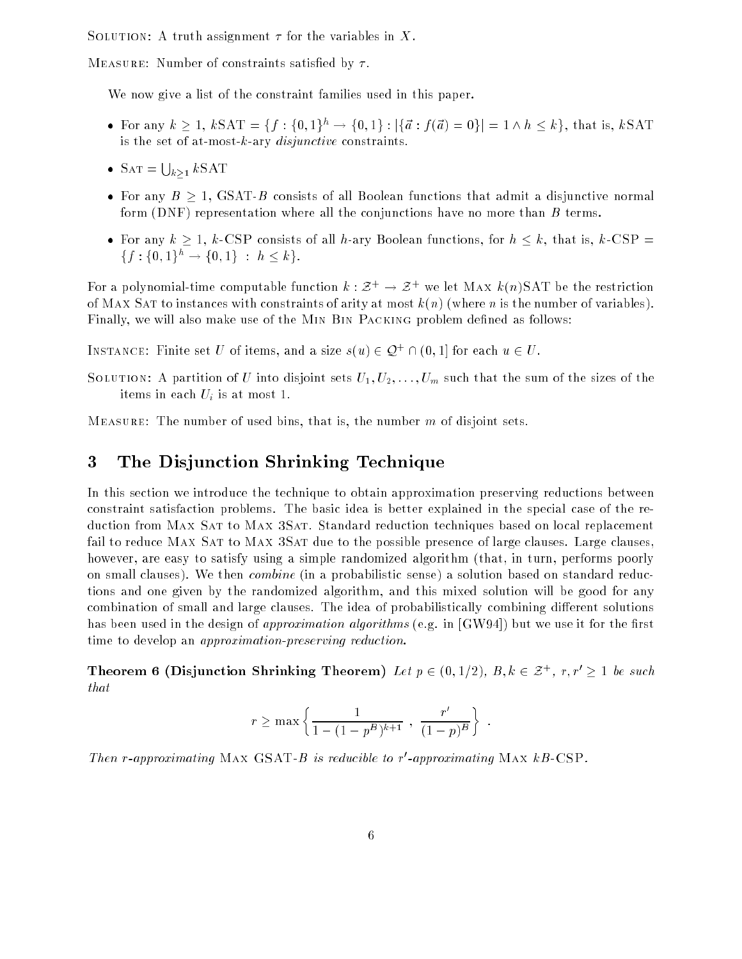SOLUTION: A truth assignment  $\tau$  for the variables in X.

MEASURE: Number of constraints satisfied by  $\tau$ .

We now give a list of the constraint families used in this paper.

- For any  $k \ge 1$ ,  $k\text{SAT} = \{f: \{0,1\}^h \to \{0,1\} : |\{\vec{a} : f(\vec{a}) = 0\}| = 1 \land h \le k\}$ , that is,  $k\text{SAT}$ is the set of at-most-k-ary  $disjunctive$  constraints.
- SAT =  $\bigcup_{k>1} k$ SAT
- For any  $B \ge 1$ , GSAT-B consists of all Boolean functions that admit a disjunctive normal form  $(DNF)$  representation where all the conjunctions have no more than  $B$  terms.
- For any  $k \ge 1$ , k-CSP consists of all h-ary Boolean functions, for  $h \le k$ , that is, k-CSP =  ${f: \{0,1\}^h \rightarrow \{0,1\} : h \leq k}.$

For a polynomial-time computable function  $k : \mathcal{Z}^+ \to \mathcal{Z}^+$  we let MAX  $k(n)$ SAT be the restriction of MAX SAT to instances with constraints of arity at most  $k(n)$  (where n is the number of variables). Finally, we will also make use of the MIN BIN PACKING problem defined as follows:

INSTANCE: Finite set U of items, and a size  $s(u) \in \mathcal{Q}^+ \cap (0,1]$  for each  $u \in U$ .

SOLUTION: A partition of U into disjoint sets  $U_1, U_2, \ldots, U_m$  such that the sum of the sizes of the items in each  $U_i$  is at most 1.

MEASURE: The number of used bins, that is, the number  $m$  of disjoint sets.

# 3 The Disjunction Shrinking Technique

In this section we introduce the technique to obtain approximation preserving reductions between constraint satisfaction problems. The basic idea is better explained in the special case of the reduction from MAX SAT to MAX 3SAT. Standard reduction techniques based on local replacement fail to reduce MAX SAT to MAX 3SAT due to the possible presence of large clauses. Large clauses, however, are easy to satisfy using a simple randomized algorithm (that, in turn, performs poorly on small clauses). We then combine (in a probabilistic sense) a solution based on standard reductions and one given by the randomized algorithm, and this mixed solution will be good for any combination of small and large clauses. The idea of probabilistically combining different solutions has been used in the design of *approximation algorithms* (e.g. in [GW94]) but we use it for the first time to develop an approximation-preserving reduction.

Theorem 6 (Disjunction Shrinking Theorem) Let  $p \in (0, 1/2)$ ,  $B, k \in \mathcal{Z}^+$ ,  $r, r' \geq 1$  be such that

$$
r \ge \max \left\{ \frac{1}{1 - (1 - p^B)^{k+1}}, \frac{r'}{(1 - p)^B} \right\}
$$

Then r-approximating MAX GSAT-B is reaucible to r-approximating MAX  $\kappa_{B}$ -GSP.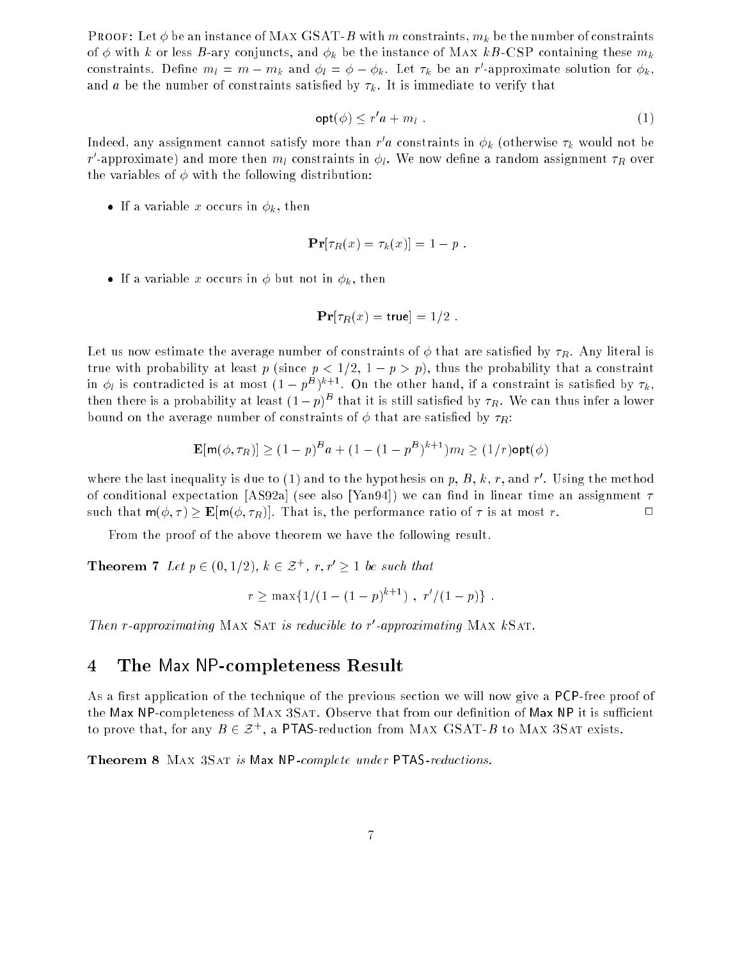**PROOF:** Let  $\phi$  be an instance of MAX GSAT-B with m constraints,  $m_k$  be the number of constraints of  $\phi$  with k or less B-ary conjuncts, and  $\phi_k$  be the instance of MAX kB-CSP containing these  $m_k$ constraints. Denne  $m_l = m - m_k$  and  $\varphi_l = \varphi - \varphi_k$ , let  $\tau_k$  be an  $r$  -approximate solution for  $\varphi_k,$ and a be the number of constraints satisfied by  $\tau_k$ . It is immediate to verify that

$$
\mathsf{opt}(\phi) \le r' a + m_l \tag{1}
$$

Indeed, any assignment cannot satisfy more than r  $a$  constraints in  $\varphi_k$  (otherwise  $\tau_k$  would not be  $r$  -approximate) and more then  $m_l$  constraints in  $\varphi_l.$  We now define a random assignment  $\tau_R$  over the variables of  $\phi$  with the following distribution:

• If a variable x occurs in  $\phi_k$ , then

$$
\mathbf{Pr}[\tau_R(x) = \tau_k(x)] = 1 - p.
$$

• If a variable x occurs in  $\phi$  but not in  $\phi_k$ , then

$$
\mathbf{Pr}[\tau_R(x) = \mathsf{true}] = 1/2.
$$

Let us now estimate the average number of constraints of  $\phi$  that are satisfied by  $\tau_R$ . Any literal is true with probability at least p (since  $p < 1/2$ ,  $1-p > p$ ), thus the probability that a constraint in  $\phi_l$  is contradicted is at most  $(1-p^B)^{k+1}$ . On the other hand, if a constraint is satisfied by  $\tau_k$ , then there is a probability at least  $(1-p)^{-\tau}$  that it is still satisfied by  $\tau_R.$  We can thus infer a lower bound on the average number of constraints of  $\phi$  that are satisfied by  $\tau_R$ :

$$
\mathbf{E}[\mathbf{m}(\phi, \tau_R)] \ge (1 - p)^B a + (1 - (1 - p^B)^{k+1}) m_l \ge (1/r) \mathsf{opt}(\phi)
$$

where the last inequality is due to (1) and to the hypothesis on  $p, B, \kappa, r,$  and  $r$  . Using the method of conditional expectation [AS92a] (see also [Yan94]) we can find in linear time an assignment  $\tau$ such that  $m(\phi, \tau) \geq E[m(\phi, \tau_R)]$ . That is, the performance ratio of  $\tau$  is at most r.

From the proof of the above theorem we have the following result.

**Theorem 7** Let  $p \in (0, 1/2)$ ,  $k \in \mathcal{Z}^+$ ,  $r, r' \geq 1$  be such that

$$
r \ge \max\{1/(1-(1-p)^{k+1}), r'/(1-p)\}.
$$

**Then r-approximating MAX SAT is reductive to r-approximating MAX**  $\kappa$ **SAT.** 

### 4 The Max NP-completeness Result

As a first application of the technique of the previous section we will now give a PCP-free proof of the Max NP-completeness of MAX 3SAT. Observe that from our definition of Max NP it is sufficient to prove that, for any  $B \in \mathcal{Z}^+$ , a PTAS-reduction from MAX GSAT-B to MAX 3SAT exists.

Theorem 8 MAX 3SAT is Max NP-complete under PTAS-reductions.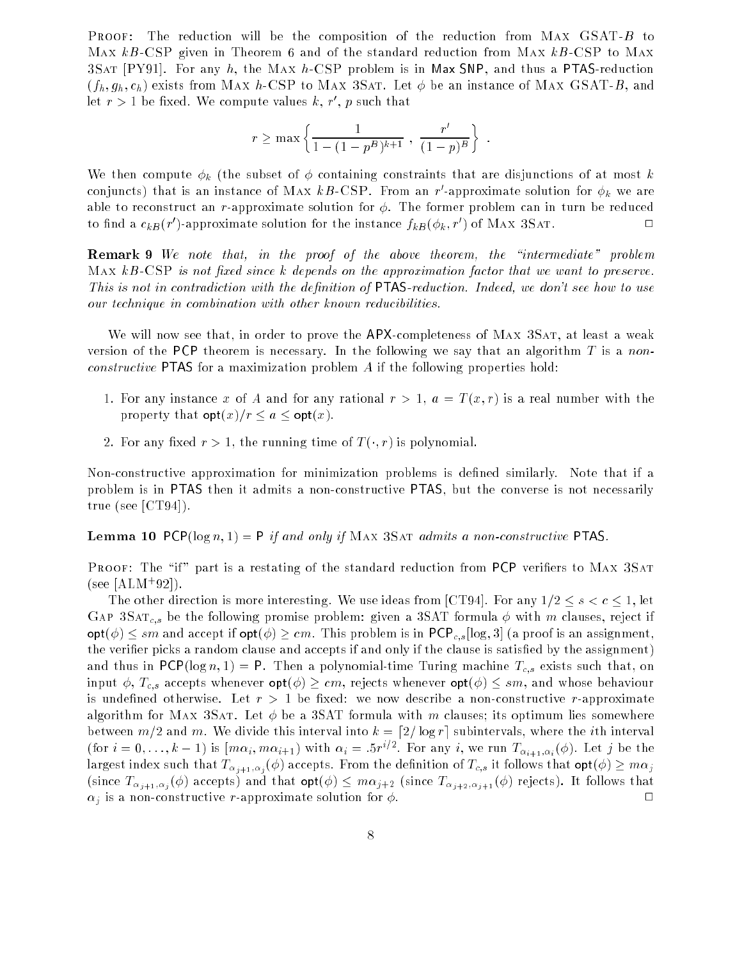The reduction will be the composition of the reduction from MAX  $GSAT-B$  to  $PROOF:$ Max  $kB$ -CSP given in Theorem 6 and of the standard reduction from Max  $kB$ -CSP to Max 3SAT  $[PY91]$ . For any h, the MAX h-CSP problem is in Max SNP, and thus a PTAS-reduction  $(f_h, g_h, c_h)$  exists from MAX h-CSP to MAX 3SAT. Let  $\phi$  be an instance of MAX GSAT-B, and let  $r > 1$  be fixed. We compute values  $\kappa, \, r$  ,  $p$  such that

$$
r \ge \max \left\{ \frac{1}{1 - (1 - p^B)^{k+1}}, \frac{r'}{(1 - p)^B} \right\}.
$$

We then compute  $\phi_k$  (the subset of  $\phi$  containing constraints that are disjunctions of at most k conjuncts) that is an instance of MAX  $\kappa_{D}$ -USP. From an  $r$  -approximate solution for  $\phi_{k}$  we are able to reconstruct an r-approximate solution for  $\phi$ . The former problem can in turn be reduced  $\Box$ to find a  $c_{kB}$ (r) -approximate solution for the instance  $f_kB(\varphi_k,r$  ) of MAX 3SAT.

**Remark 9** We note that, in the proof of the above theorem, the "intermediate" problem MAX  $kB$ -CSP is not fixed since k depends on the approximation factor that we want to preserve. This is not in contradiction with the definition of  $PTAS$ -reduction. Indeed, we don't see how to use our technique in combination with other known reducibilities.

We will now see that, in order to prove the APX-completeness of MAX 3SAT, at least a weak version of the PCP theorem is necessary. In the following we say that an algorithm T is a nonconstructive PTAS for a maximization problem A if the following properties hold:

- 1. For any instance x of A and for any rational  $r > 1$ ,  $a = T(x, r)$  is a real number with the property that  $\mathsf{opt}(x)/r \leq a \leq \mathsf{opt}(x)$ .
- 2. For any fixed  $r > 1$ , the running time of  $T(\cdot, r)$  is polynomial.

Non-constructive approximation for minimization problems is dened similarly. Note that if a problem is in PTAS then it admits a non-constructive PTAS, but the converse is not necessarily true (see [CT94]).

**Lemma 10** PCP( $\log n$ , 1) = P if and only if MAX 3SAT admits a non-constructive PTAS.

PROOF: The "if" part is a restating of the standard reduction from PCP verifiers to MAX 3SAT  $(see [ALM+92]).$ 

The other direction is more interesting. We use ideas from [CT94]. For any  $1/2 \leq s < c \leq 1,$  let GAP 3SAT<sub>c,s</sub> be the following promise problem: given a 3SAT formula  $\phi$  with m clauses, reject if  $\text{opt}(\phi) \leq sm$  and accept if  $\text{opt}(\phi) \geq cm$ . This problem is in PCP<sub>c,s</sub> [log, 3] (a proof is an assignment, the verifier picks a random clause and accepts if and only if the clause is satisfied by the assignment) and thus in  $PCP(\log n, 1) = P$ . Then a polynomial-time Turing machine  $T_{c,s}$  exists such that, on input  $\phi$ ,  $T_{c,s}$  accepts whenever  $\mathsf{opt}(\phi) \geq cm$ , rejects whenever  $\mathsf{opt}(\phi) \leq sm$ , and whose behaviour is undefined otherwise. Let  $r > 1$  be fixed: we now describe a non-constructive r-approximate algorithm for MAX 3SAT. Let  $\phi$  be a 3SAT formula with m clauses; its optimum lies somewhere between  $m/2$  and m. We divide this interval into  $k = \lfloor 2/\log r \rfloor$  subintervals, where the *i*th interval (for  $i=0,\ldots,k-1$ ) is  $[m\alpha_i,m\alpha_{i+1})$  with  $\alpha_i = .5r^{i/2}$ . For any i, we run  $T_{\alpha_{i+1},\alpha_i}(\phi)$ . Let j be the largest index such that  $T_{\alpha_{j+1},\alpha_j}(\phi)$  accepts. From the definition of  $T_{c,s}$  it follows that  $\textsf{opt}(\phi) \geq m\alpha_j$ (since  $T_{\alpha_{j+1},\alpha_j}(\phi)$  accepts) and that  $\mathsf{opt}(\phi) \leq m\alpha_{j+2}$  (since  $T_{\alpha_{j+2},\alpha_{j+1}}(\phi)$  rejects). It follows that  $\alpha_j$  is a non-constructive r-approximate solution for  $\phi$ .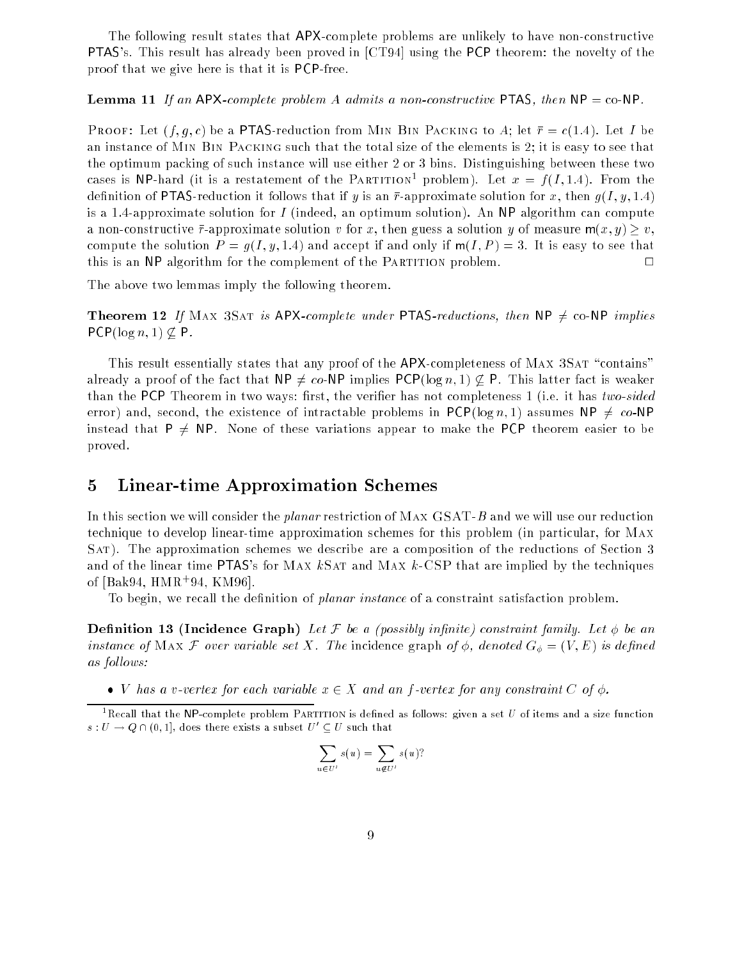The following result states that APX-complete problems are unlikely to have non-constructive PTAS's. This result has already been proved in [CT94] using the PCP theorem: the novelty of the proof that we give here is that it is PCP-free.

#### **Lemma 11** If an APX-complete problem A admits a non-constructive PTAS, then  $NP = co-NP$ .

**PROOF:** Let  $(f, g, c)$  be a PTAS-reduction from MIN BIN PACKING to A; let  $\bar{r} = c(1.4)$ . Let I be an instance of Min Bin Packing such that the total size of the elements is 2; it is easy to see that the optimum packing of such instance will use either 2 or 3 bins. Distinguishing between these two cases is NP-hard (it is a restatement of the PARTITION<sup>1</sup> problem). Let  $x = f(I, 1.4)$ . From the definition of **PTAS**-reduction it follows that if y is an  $\bar{r}$ -approximate solution for x, then  $q(I, y, 1.4)$ is a 1.4-approximate solution for  $I$  (indeed, an optimum solution). An NP algorithm can compute a non-constructive  $\bar{r}$ -approximate solution v for x, then guess a solution y of measure  $m(x, y) \geq v$ , compute the solution  $P = g(I, y, 1.4)$  and accept if and only if  $m(I, P) = 3$ . It is easy to see that this is an NP algorithm for the complement of the PARTITION problem.  $\Box$ 

The above two lemmas imply the following theorem.

**Theorem 12** If MAX 3SAT is APX-complete under PTAS-reductions, then NP  $\neq$  co-NP implies  $PCP(\log n, 1) \nsubseteq P$ .

This result essentially states that any proof of the  $APX$ -completeness of MAX 3SAT "contains" already a proof of the fact that  $NP \neq co-NP$  implies  $PCP(\log n, 1) \not\subseteq P$ . This latter fact is weaker than the PCP Theorem in two ways: first, the verifier has not completeness 1 (i.e. it has two-sided error) and, second, the existence of intractable problems in  $PCP(\log n, 1)$  assumes NP  $\neq$  co-NP instead that  $P \neq NP$ . None of these variations appear to make the PCP theorem easier to be proved.

## 5 Linear-time Approximation Schemes

In this section we will consider the *planar* restriction of MAX GSAT-B and we will use our reduction technique to develop linear-time approximation schemes for this problem (in particular, for Max Sat). The approximation schemes we describe are a composition of the reductions of Section 3 and of the linear time PTAS's for MAX  $k$ SAT and MAX  $k$ -CSP that are implied by the techniques of [Bak94, HMR<sup>+</sup> 94, KM96].

To begin, we recall the definition of *planar instance* of a constraint satisfaction problem.

**Definition 13 (Incidence Graph)** Let F be a (possibly infinite) constraint family. Let  $\phi$  be an instance of MAX F over variable set X. The incidence graph of  $\phi$ , denoted  $G_{\phi} = (V, E)$  is defined as follows:

• V has a v-vertex for each variable  $x \in X$  and an f-vertex for any constraint C of  $\phi$ .

$$
\sum_{u \in U'} s(u) = \sum_{u \notin U'} s(u)?
$$

 $^1$ Recall that the NP-complete problem PARTITION is defined as follows: given a set  $U$  of items and a size function  $s: U \rightarrow Q \cap (0,1],$  does there exists a subset  $U' \subseteq U$  such that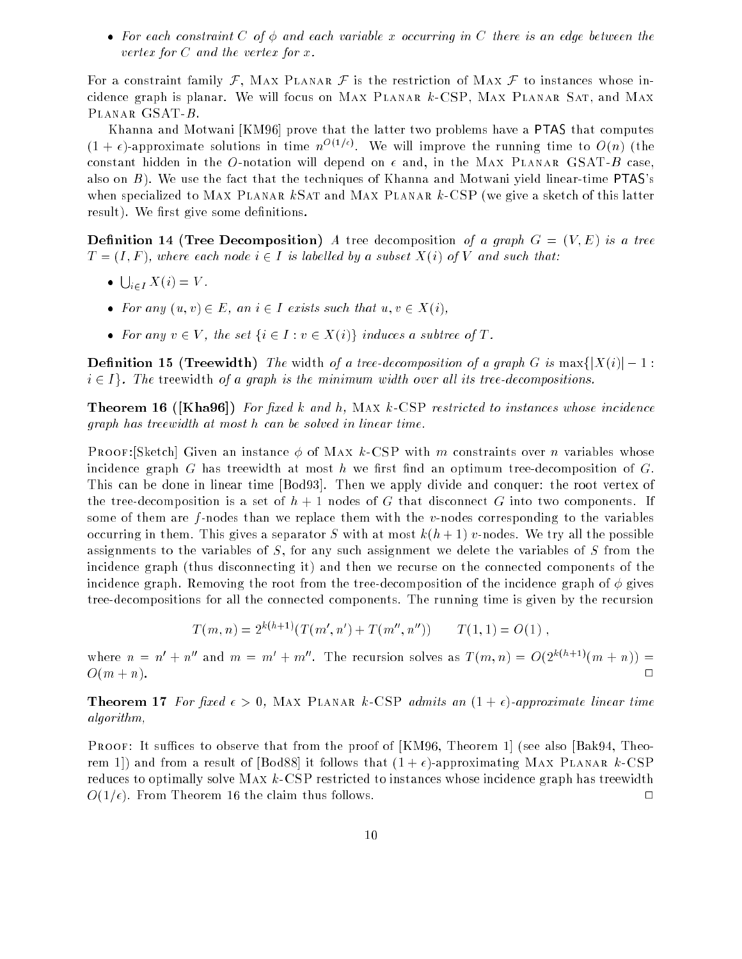• For each constraint C of  $\phi$  and each variable x occurring in C there is an edge between the vertex for  $C$  and the vertex for  $x$ .

For a constraint family  $\mathcal{F}$ , MAX PLANAR  $\mathcal{F}$  is the restriction of MAX  $\mathcal{F}$  to instances whose incidence graph is planar. We will focus on Max Planar k-CSP, Max Planar Sat, and Max Planar GSAT-B.

Khanna and Motwani [KM96] prove that the latter two problems have a PTAS that computes  $(1+\epsilon)$ -approximate solutions in time  $n^{O(1/\epsilon)}$ . We will improve the running time to  $O(n)$  (the constant hidden in the O-notation will depend on  $\epsilon$  and, in the MAX PLANAR GSAT-B case, also on  $B$ ). We use the fact that the techniques of Khanna and Motwani yield linear-time PTAS's when specialized to MAX PLANAR  $k$ SAT and MAX PLANAR  $k$ -CSP (we give a sketch of this latter result). We first give some definitions.

**Definition 14 (Tree Decomposition)** A tree decomposition of a graph  $G = (V, E)$  is a tree  $T = (I, F)$ , where each node  $i \in I$  is labelled by a subset  $X(i)$  of V and such that:

- $\bullet \bigcup_{i \in I} X(i) = V.$
- For any  $(u, v) \in E$ , an  $i \in I$  exists such that  $u, v \in X(i)$ ,
- For any  $v \in V$ , the set  $\{i \in I : v \in X(i)\}$  induces a subtree of T.

**Definition 15 (Treewidth)** The width of a tree-decomposition of a graph G is  $\max\{|X(i)|-1:$  $i \in I$ . The treewidth of a graph is the minimum width over all its tree-decompositions.

**Theorem 16 ([Kha96])** For fixed k and h, MAX k-CSP restricted to instances whose incidence graph has treewidth at most h can be solved in linear time.

**PROOF:**[Sketch] Given an instance  $\phi$  of MAX k-CSP with m constraints over n variables whose incidence graph G has treewidth at most h we first find an optimum tree-decomposition of  $G$ . This can be done in linear time [Bod93]. Then we apply divide and conquer: the root vertex of the tree-decomposition is a set of  $h + 1$  nodes of G that disconnect G into two components. If some of them are  $f$ -nodes than we replace them with the  $v$ -nodes corresponding to the variables occurring in them. This gives a separator S with at most  $k(h+1)$  v-nodes. We try all the possible assignments to the variables of  $S$ , for any such assignment we delete the variables of  $S$  from the incidence graph (thus disconnecting it) and then we recurse on the connected components of the incidence graph. Removing the root from the tree-decomposition of the incidence graph of  $\phi$  gives tree-decompositions for all the connected components. The running time is given by the recursion

$$
T(m, n) = 2^{k(h+1)}(T(m', n') + T(m'', n'')) \qquad T(1, 1) = O(1) ,
$$

where  $n = n' + n''$  and  $m = m' + m''$ . The recursion solves as  $T(m, n) = O(2^{k(h+1)}(m+n))$  $O(m+n)$ .  $\Box$ 

**Theorem 17** For fixed  $\epsilon > 0$ , MAX PLANAR k-CSP admits an  $(1 + \epsilon)$ -approximate linear time algorithm,

**PROOF:** It suffices to observe that from the proof of  $[KM96, Theorem 1]$  (see also  $[Bak94, Theorem 1]$ ) rem 1) and from a result of [Bod88] it follows that  $(1 + \epsilon)$ -approximating MAX PLANAR k-CSP reduces to optimally solve  $MAX\ k\text{-CSP restricted to instances whose incidence graph has trewidth}$  $O(1/\epsilon)$ . From Theorem 16 the claim thus follows.  $\Box$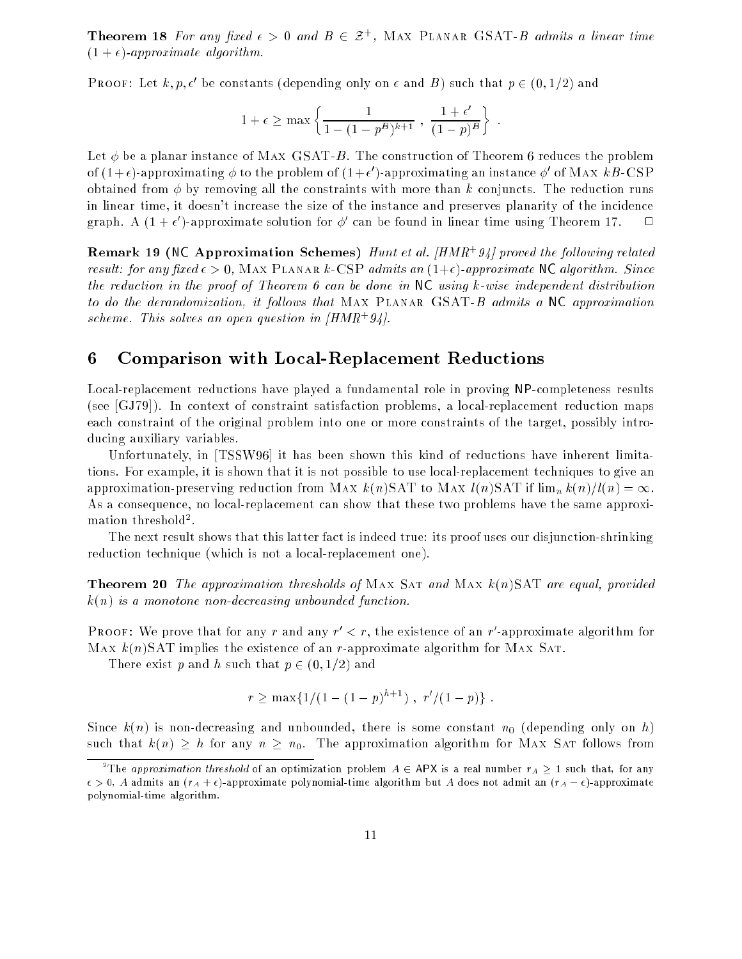**Theorem 18** For any fixed  $\epsilon > 0$  and  $B \in \mathcal{Z}^+$ , MAX PLANAR GSAT-B admits a linear time  $(1 + \epsilon)$ -approximate algorithm.

**PROOF:** Let  $\kappa, p, \epsilon$  be constants (depending only on  $\epsilon$  and  $D$ ) such that  $p \in (0, 1/2)$  and

$$
1+\epsilon \geq \max \left\{ \frac{1}{1-(1-p^B)^{k+1}} \ , \ \frac{1+\epsilon'}{(1-p)^B} \right\} \ .
$$

Let  $\phi$  be a planar instance of MAX GSAT-B. The construction of Theorem 6 reduces the problem of (1+e)-approximating  $\varphi$  to the problem of (1+e)-approximating an instance  $\varphi$  of Max  $\kappa_{B}$ -CSP obtained from  $\phi$  by removing all the constraints with more than k conjuncts. The reduction runs in linear time, it doesn't increase the size of the instance and preserves planarity of the incidence graph. A (1+  $\epsilon$  )-approximate solution for  $\varphi$  can be found in linear time using Theorem 17.  $\Box$ 

**Remark 19 (NC Approximation Schemes)** Hunt et al. [HMR<sup>+</sup>94] proved the following related result: for any fixed  $\epsilon > 0$ , MAX PLANAR k-CSP admits an  $(1+\epsilon)$ -approximate NC algorithm. Since the reduction in the proof of Theorem 6 can be done in NC using k-wise independent distribution to do the derandomization, it follows that MAX PLANAR GSAT-B admits a NC approximation scheme. This solves an open question in  $(HMR+94)$ .

# 6 Comparison with Local-Replacement Reductions

Local-replacement reductions have played a fundamental role in proving NP-completeness results (see [GJ79]). In context of constraint satisfaction problems, a local-replacement reduction maps each constraint of the original problem into one or more constraints of the target, possibly introducing auxiliary variables.

Unfortunately, in [TSSW96] it has been shown this kind of reductions have inherent limitations. For example, it is shown that it is not possible to use local-replacement techniques to give an approximation-preserving reduction from MAX  $k(n)$ SAT to MAX  $l(n)$ SAT if  $\lim_{n} k(n)/l(n) = \infty$ . As a consequence, no local-replacement can show that these two problems have the same approximation threshold<sup>2</sup>.

The next result shows that this latter fact is indeed true: its proof uses our disjunction-shrinking reduction technique (which is not a local-replacement one).

**Theorem 20** The approximation thresholds of MAX SAT and MAX  $k(n)$ SAT are equal, provided  $k(n)$  is a monotone non-decreasing unbounded function.

PROOF: We prove that for any r and any  $r < r$ , the existence of an r -approximate algorithm for Max  $k(n)$ SAT implies the existence of an r-approximate algorithm for Max SAT.

There exist p and h such that  $p \in (0, 1/2)$  and

$$
r \ge \max\{1/(1-(1-p)^{h+1}), r'/(1-p)\}.
$$

Since  $k(n)$  is non-decreasing and unbounded, there is some constant  $n_0$  (depending only on h) such that  $k(n) \geq h$  for any  $n \geq n_0$ . The approximation algorithm for MAX SAT follows from

<sup>&</sup>lt;sup>2</sup>The *approximation threshold* of an optimization problem  $A \in$  APX is a real number  $r_A > 1$  such that, for any  $\epsilon > 0$ , A admits an  $(r_A + \epsilon)$ -approximate polynomial-time algorithm but A does not admit an  $(r_A - \epsilon)$ -approximate polynomial-time algorithm.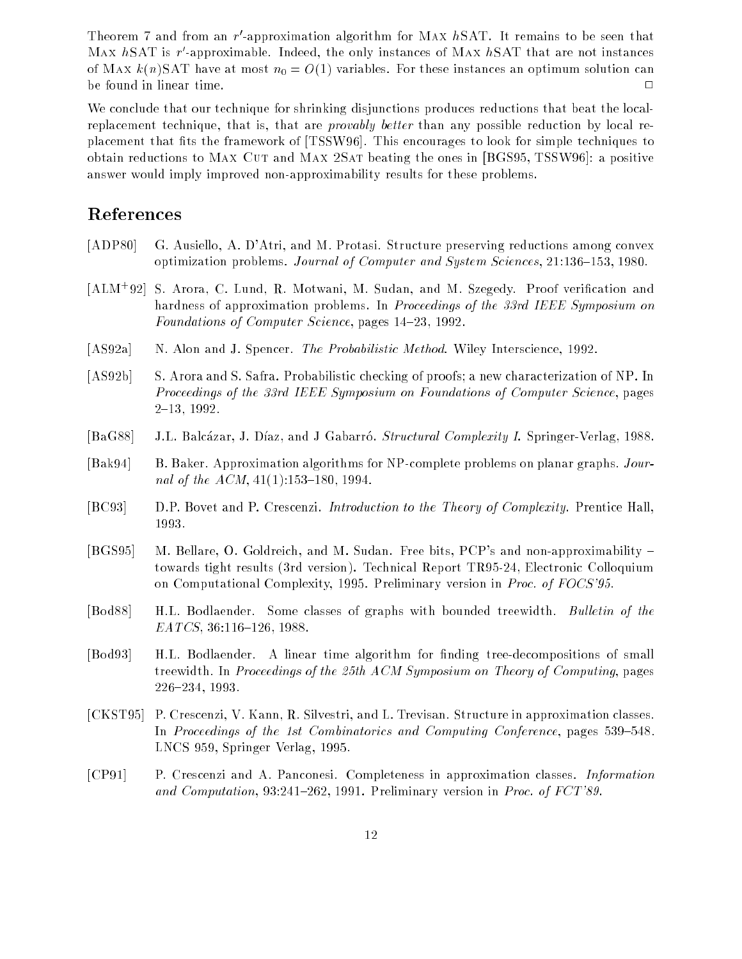**Theorem** *(* and from an  $r$  -approximation algorithm for MAX  $n_{DM}$ ). It remains to be seen that  $\text{MAX}$   $n$ SAT is  $r$  -approximable. Indeed, the only instances of MAX  $n$ SAT that are not instances of Max  $k(n)$ SAT have at most  $n_0 = O(1)$  variables. For these instances an optimum solution can be found in linear time. <sup>2</sup>

We conclude that our technique for shrinking disjunctions produces reductions that beat the localreplacement technique, that is, that are *provably better* than any possible reduction by local replacement that fits the framework of [TSSW96]. This encourages to look for simple techniques to obtain reductions to MAX CUT and MAX 2SAT beating the ones in [BGS95, TSSW96]: a positive answer would imply improved non-approximability results for these problems.

### References

- [ADP80] G. Ausiello, A. D'Atri, and M. Protasi. Structure preserving reductions among convex optimization problems. Journal of Computer and System Sciences, 21:136-153, 1980.
- [ALM<sup>+</sup> 92] S. Arora, C. Lund, R. Motwani, M. Sudan, and M. Szegedy. Proof verication and hardness of approximation problems. In Proceedings of the 33rd IEEE Symposium on Foundations of Computer Science, pages 14-23, 1992.
- [AS92a] N. Alon and J. Spencer. The Probabilistic Method. Wiley Interscience, 1992.
- [AS92b] S. Arora and S. Safra. Probabilistic checking of proofs; a new characterization of NP. In Proceedings of the 33rd IEEE Symposium on Foundations of Computer Science, pages  $2{-}13, 1992.$
- [BaG88] J.L. Balcázar, J. Díaz, and J Gabarró. Structural Complexity I. Springer-Verlag, 1988.
- [Bak94] B. Baker. Approximation algorithms for NP-complete problems on planar graphs. Journal of the  $ACM$ ,  $41(1):153{-}180$ , 1994.
- [BC93] D.P. Bovet and P. Crescenzi. Introduction to the Theory of Complexity. Prentice Hall, 1993.
- [BGS95] M. Bellare, O. Goldreich, and M. Sudan. Free bits, PCP's and non-approximability towards tight results (3rd version). Technical Report TR95-24, Electronic Colloquium on Computational Complexity, 1995. Preliminary version in Proc. of FOCS'95.
- [Bod88] H.L. Bodlaender. Some classes of graphs with bounded treewidth. Bulletin of the  $EATCS$ , 36:116-126, 1988.
- [Bod93] H.L. Bodlaender. A linear time algorithm for finding tree-decompositions of small treewidth. In Proceedings of the 25th ACM Symposium on Theory of Computing, pages 226{234, 1993.
- [CKST95] P. Crescenzi, V. Kann, R. Silvestri, and L. Trevisan. Structure in approximation classes. In Proceedings of the 1st Combinatorics and Computing Conference, pages  $539-548$ . LNCS 959, Springer Verlag, 1995.
- [CP91] P. Crescenzi and A. Panconesi. Completeness in approximation classes. Information and Computation, 93:241-262, 1991. Preliminary version in Proc. of FCT'89.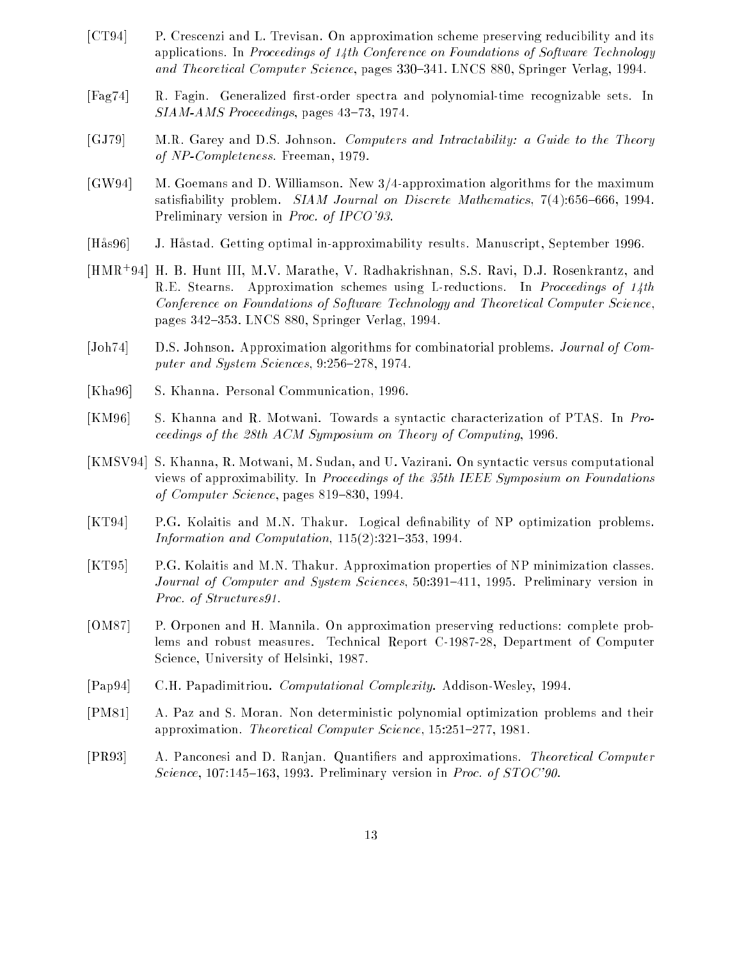- [CT94] P. Crescenzi and L. Trevisan. On approximation scheme preserving reducibility and its applications. In Proceedings of 14th Conference on Foundations of Software Technology and Theoretical Computer Science, pages 330–341. LNCS 880, Springer Verlag, 1994.
- [Fag74] R. Fagin. Generalized first-order spectra and polynomial-time recognizable sets. In  $SIAM-AMS$  Proceedings, pages  $43-73$ , 1974.
- [GJ79] M.R. Garey and D.S. Johnson. Computers and Intractability: a Guide to the Theory of NP-Completeness. Freeman, 1979.
- [GW94] M. Goemans and D. Williamson. New 3/4-approximation algorithms for the maximum satisfiability problem.  $SIAM$  Journal on Discrete Mathematics, 7(4):656-666, 1994. Preliminary version in Proc. of IPCO'93.
- [Has96] J. Hastad. Getting optimal in-approximability results. Manuscript, September 1996.
- [HMR<sup>+</sup> 94] H. B. Hunt III, M.V. Marathe, V. Radhakrishnan, S.S. Ravi, D.J. Rosenkrantz, and R.E. Stearns. Approximation schemes using L-reductions. In Proceedings of 14th Conference on Foundations of Software Technology and Theoretical Computer Science, pages 342-353. LNCS 880, Springer Verlag, 1994.
- [Joh74] D.S. Johnson. Approximation algorithms for combinatorial problems. Journal of Computer and System Sciences,  $9.256{\text -}278$ , 1974.
- [Kha96] S. Khanna. Personal Communication, 1996.
- [KM96] S. Khanna and R. Motwani. Towards a syntactic characterization of PTAS. In Proceedings of the 28th ACM Symposium on Theory of Computing, 1996.
- [KMSV94] S. Khanna, R. Motwani, M. Sudan, and U. Vazirani. On syntactic versus computational views of approximability. In Proceedings of the 35th IEEE Symposium on Foundations of Computer Science, pages  $819-830$ , 1994.
- [KT94] P.G. Kolaitis and M.N. Thakur. Logical denability of NP optimization problems. Information and Computation,  $115(2):321-353$ , 1994.
- [KT95] P.G. Kolaitis and M.N. Thakur. Approximation properties of NP minimization classes. Journal of Computer and System Sciences,  $50:391-411$ , 1995. Preliminary version in Proc. of Structures91.
- [OM87] P. Orponen and H. Mannila. On approximation preserving reductions: complete problems and robust measures. Technical Report C-1987-28, Department of Computer Science, University of Helsinki, 1987.
- [Pap94] C.H. Papadimitriou. Computational Complexity. Addison-Wesley, 1994.
- [PM81] A. Paz and S. Moran. Non deterministic polynomial optimization problems and their approximation. Theoretical Computer Science, 15:251-277, 1981.
- [PR93] A. Panconesi and D. Ranjan. Quantiers and approximations. Theoretical Computer Science, 107:145-163, 1993. Preliminary version in Proc. of  $STOC'90$ .